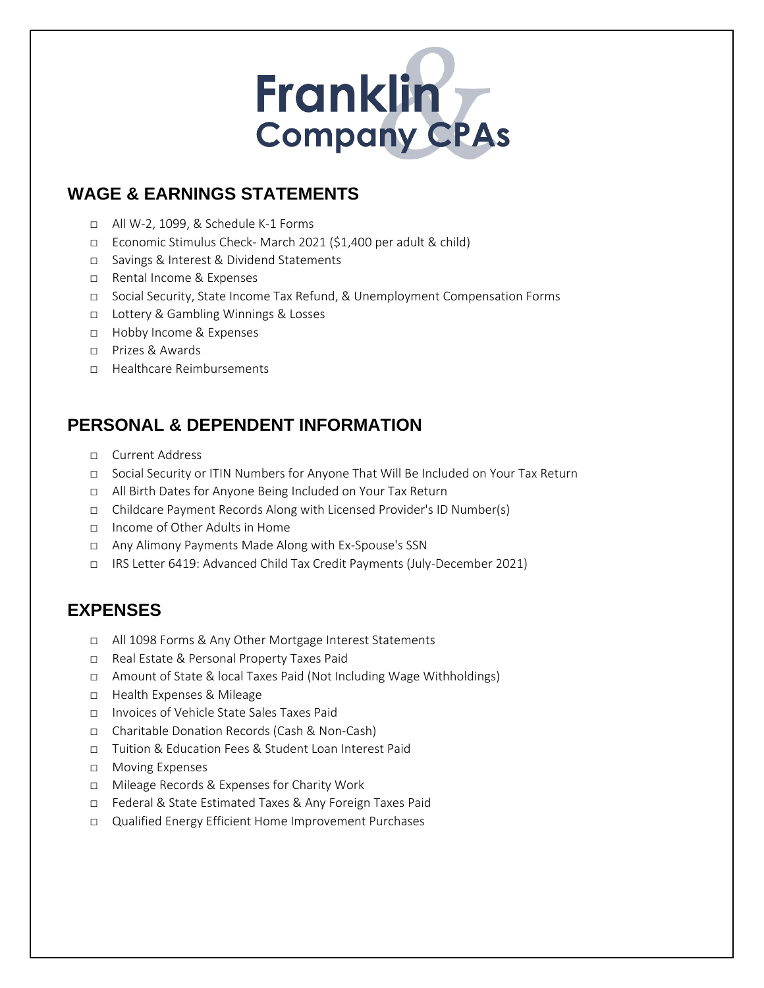# Franklin **Company CPAs**

## **WAGE & EARNINGS STATEMENTS**

- □ All W-2, 1099, & Schedule K-1 Forms
- □ Economic Stimulus Check- March 2021 (\$1,400 per adult & child)
- □ Savings & Interest & Dividend Statements
- □ Rental Income & Expenses
- □ Social Security, State Income Tax Refund, & Unemployment Compensation Forms
- □ Lottery & Gambling Winnings & Losses
- □ Hobby Income & Expenses
- □ Prizes & Awards
- □ Healthcare Reimbursements

#### **PERSONAL & DEPENDENT INFORMATION**

- □ Current Address
- □ Social Security or ITIN Numbers for Anyone That Will Be Included on Your Tax Return
- □ All Birth Dates for Anyone Being Included on Your Tax Return
- □ Childcare Payment Records Along with Licensed Provider's ID Number(s)
- □ Income of Other Adults in Home
- □ Any Alimony Payments Made Along with Ex-Spouse's SSN
- □ IRS Letter 6419: Advanced Child Tax Credit Payments (July-December 2021)

#### **EXPENSES**

- □ All 1098 Forms & Any Other Mortgage Interest Statements
- □ Real Estate & Personal Property Taxes Paid
- □ Amount of State & local Taxes Paid (Not Including Wage Withholdings)
- □ Health Expenses & Mileage
- □ Invoices of Vehicle State Sales Taxes Paid
- □ Charitable Donation Records (Cash & Non-Cash)
- □ Tuition & Education Fees & Student Loan Interest Paid
- □ Moving Expenses
- □ Mileage Records & Expenses for Charity Work
- □ Federal & State Estimated Taxes & Any Foreign Taxes Paid
- □ Qualified Energy Efficient Home Improvement Purchases